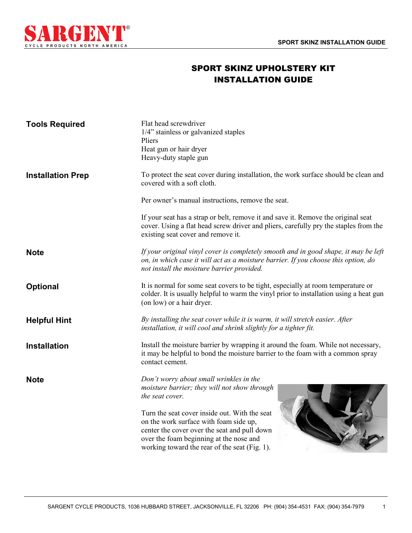

## SPORT SKINZ UPHOLSTERY KIT INSTALLATION GUIDE

| <b>Tools Required</b>    | Flat head screwdriver<br>1/4" stainless or galvanized staples<br>Pliers<br>Heat gun or hair dryer<br>Heavy-duty staple gun                                                                                                          |  |
|--------------------------|-------------------------------------------------------------------------------------------------------------------------------------------------------------------------------------------------------------------------------------|--|
| <b>Installation Prep</b> | To protect the seat cover during installation, the work surface should be clean and<br>covered with a soft cloth.                                                                                                                   |  |
|                          | Per owner's manual instructions, remove the seat.                                                                                                                                                                                   |  |
|                          | If your seat has a strap or belt, remove it and save it. Remove the original seat<br>cover. Using a flat head screw driver and pliers, carefully pry the staples from the<br>existing seat cover and remove it.                     |  |
| <b>Note</b>              | If your original vinyl cover is completely smooth and in good shape, it may be left<br>on, in which case it will act as a moisture barrier. If you choose this option, do<br>not install the moisture barrier provided.             |  |
| <b>Optional</b>          | It is normal for some seat covers to be tight, especially at room temperature or<br>colder. It is usually helpful to warm the vinyl prior to installation using a heat gun<br>(on low) or a hair dryer.                             |  |
| <b>Helpful Hint</b>      | By installing the seat cover while it is warm, it will stretch easier. After<br>installation, it will cool and shrink slightly for a tighter fit.                                                                                   |  |
| <b>Installation</b>      | Install the moisture barrier by wrapping it around the foam. While not necessary,<br>it may be helpful to bond the moisture barrier to the foam with a common spray<br>contact cement.                                              |  |
| <b>Note</b>              | Don't worry about small wrinkles in the<br>moisture barrier; they will not show through<br>the seat cover.                                                                                                                          |  |
|                          | Turn the seat cover inside out. With the seat<br>on the work surface with foam side up,<br>center the cover over the seat and pull down<br>over the foam beginning at the nose and<br>working toward the rear of the seat (Fig. 1). |  |